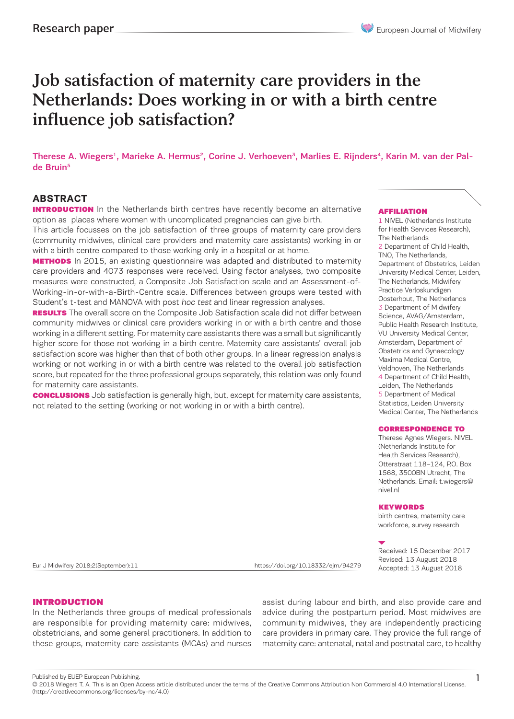# Job satisfaction of maternity care providers in the Netherlands: Does working in or with a birth centre influence job satisfaction?

Therese A. Wiegers<sup>1</sup>, Marieke A. Hermus<sup>2</sup>, Corine J. Verhoeven<sup>3</sup>, Marlies E. Rijnders<sup>4</sup>, Karin M. van der Palde Bruin<sup>5</sup>

# **ABSTRACT**

**INTRODUCTION** In the Netherlands birth centres have recently become an alternative option as places where women with uncomplicated pregnancies can give birth.

This article focusses on the job satisfaction of three groups of maternity care providers (community midwives, clinical care providers and maternity care assistants) working in or with a birth centre compared to those working only in a hospital or at home.

**METHODS** In 2015, an existing questionnaire was adapted and distributed to maternity care providers and 4073 responses were received. Using factor analyses, two composite measures were constructed, a Composite Job Satisfaction scale and an Assessment-of-Working-in-or-with-a-Birth-Centre scale. Differences between groups were tested with Student's t-test and MANOVA with post hoc test and linear regression analyses.

**RESULTS** The overall score on the Composite Job Satisfaction scale did not differ between community midwives or clinical care providers working in or with a birth centre and those working in a different setting. For maternity care assistants there was a small but significantly higher score for those not working in a birth centre. Maternity care assistants' overall job satisfaction score was higher than that of both other groups. In a linear regression analysis working or not working in or with a birth centre was related to the overall job satisfaction score, but repeated for the three professional groups separately, this relation was only found for maternity care assistants.

**CONCLUSIONS** Job satisfaction is generally high, but, except for maternity care assistants, not related to the setting (working or not working in or with a birth centre).

#### AFFILIATION

1 NIVEL (Netherlands Institute for Health Services Research), The Netherlands 2 Department of Child Health, TNO, The Netherlands, Department of Obstetrics, Leiden University Medical Center, Leiden, The Netherlands, Midwifery Practice Verloskundigen Oosterhout, The Netherlands 3 Department of Midwifery Science, AVAG/Amsterdam, Public Health Research Institute, VU University Medical Center, Amsterdam, Department of Obstetrics and Gynaecology Maxima Medical Centre, Veldhoven, The Netherlands 4 Department of Child Health Leiden, The Netherlands 5 Department of Medical Statistics, Leiden University Medical Center, The Netherlands

#### CORRESPONDENCE TO

Therese Agnes Wiegers. NIVEL (Netherlands Institute for Health Services Research), Otterstraat 118-124, P.O. Box 1568, 3500BN Utrecht, The Netherlands. Email: t.wiegers@ nivel.nl

#### **KEYWORDS**

birth centres, maternity care workforce, survey research

Received: 15 December 2017 Revised: 13 August 2018 Accepted: 13 August 2018 Eur J Midwifery 2018;2(September):11 https://doi.org/10.18332/ejm/94279

1

#### INTRODUCTION

In the Netherlands three groups of medical professionals are responsible for providing maternity care: midwives, obstetricians, and some general practitioners. In addition to these groups, maternity care assistants (MCAs) and nurses assist during labour and birth, and also provide care and advice during the postpartum period. Most midwives are community midwives, they are independently practicing care providers in primary care. They provide the full range of maternity care: antenatal, natal and postnatal care, to healthy

Published by EUEP European Publishing.

<sup>© 2018</sup> Wiegers T. A. This is an Open Access article distributed under the terms of the Creative Commons Attribution Non Commercial 4.0 International License. (http://creativecommons.org/licenses/by-nc/4.0)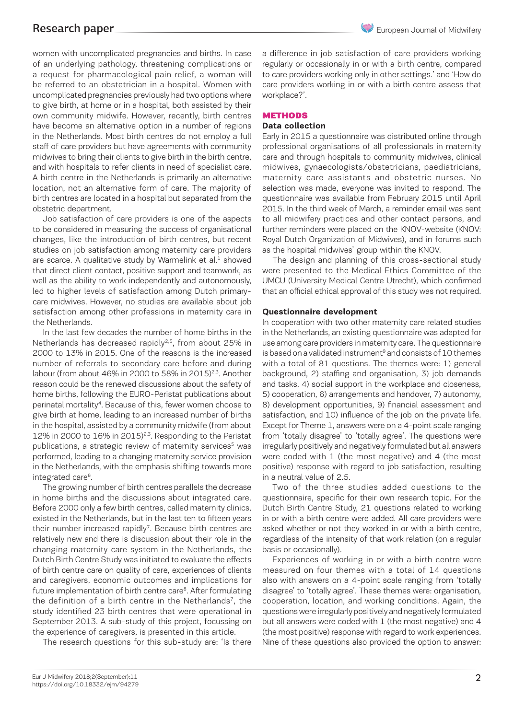women with uncomplicated pregnancies and births. In case of an underlying pathology, threatening complications or a request for pharmacological pain relief, a woman will be referred to an obstetrician in a hospital. Women with uncomplicated pregnancies previously had two options where to give birth, at home or in a hospital, both assisted by their own community midwife. However, recently, birth centres have become an alternative option in a number of regions in the Netherlands. Most birth centres do not employ a full staff of care providers but have agreements with community midwives to bring their clients to give birth in the birth centre, and with hospitals to refer clients in need of specialist care. A birth centre in the Netherlands is primarily an alternative location, not an alternative form of care. The majority of birth centres are located in a hospital but separated from the obstetric department.

Job satisfaction of care providers is one of the aspects to be considered in measuring the success of organisational changes, like the introduction of birth centres, but recent studies on job satisfaction among maternity care providers are scarce. A qualitative study by Warmelink et  $al<sup>1</sup>$  showed that direct client contact, positive support and teamwork, as well as the ability to work independently and autonomously, led to higher levels of satisfaction among Dutch primarycare midwives. However, no studies are available about job satisfaction among other professions in maternity care in the Netherlands.

In the last few decades the number of home births in the Netherlands has decreased rapidly<sup>2,3</sup>, from about 25% in 2000 to 13% in 2015. One of the reasons is the increased number of referrals to secondary care before and during labour (from about 46% in 2000 to 58% in 2015)<sup>2,3</sup>. Another reason could be the renewed discussions about the safety of home births, following the EURO-Peristat publications about perinatal mortality4. Because of this, fewer women choose to give birth at home, leading to an increased number of births in the hospital, assisted by a community midwife (from about 12% in 2000 to  $16\%$  in 2015)<sup>2,3</sup>. Responding to the Peristat publications, a strategic review of maternity services<sup>5</sup> was performed, leading to a changing maternity service provision in the Netherlands, with the emphasis shifting towards more integrated care<sup>6</sup>.

The growing number of birth centres parallels the decrease in home births and the discussions about integrated care. Before 2000 only a few birth centres, called maternity clinics, existed in the Netherlands, but in the last ten to fifteen years their number increased rapidly<sup>7</sup>. Because birth centres are relatively new and there is discussion about their role in the changing maternity care system in the Netherlands, the Dutch Birth Centre Study was initiated to evaluate the effects of birth centre care on quality of care, experiences of clients and caregivers, economic outcomes and implications for future implementation of birth centre care<sup>8</sup>. After formulating the definition of a birth centre in the Netherlands<sup>7</sup>, the study identified 23 birth centres that were operational in September 2013. A sub-study of this project, focussing on the experience of caregivers, is presented in this article.

The research questions for this sub-study are: 'Is there

a difference in job satisfaction of care providers working regularly or occasionally in or with a birth centre, compared to care providers working only in other settings.' and 'How do care providers working in or with a birth centre assess that workplace?'.

#### **METHODS**

### **Data collection**

Early in 2015 a questionnaire was distributed online through professional organisations of all professionals in maternity care and through hospitals to community midwives, clinical midwives, gynaecologists/obstetricians, paediatricians, maternity care assistants and obstetric nurses. No selection was made, everyone was invited to respond. The questionnaire was available from February 2015 until April 2015. In the third week of March, a reminder email was sent to all midwifery practices and other contact persons, and further reminders were placed on the KNOV-website (KNOV: Royal Dutch Organization of Midwives), and in forums such as the hospital midwives' group within the KNOV.

The design and planning of this cross-sectional study were presented to the Medical Ethics Committee of the UMCU (University Medical Centre Utrecht), which confirmed that an official ethical approval of this study was not required.

#### **Questionnaire development**

In cooperation with two other maternity care related studies in the Netherlands, an existing questionnaire was adapted for use among care providers in maternity care. The questionnaire is based on a validated instrument<sup>9</sup> and consists of 10 themes with a total of 81 questions. The themes were: 1) general background, 2) staffing and organisation, 3) job demands and tasks, 4) social support in the workplace and closeness, 5) cooperation, 6) arrangements and handover, 7) autonomy, 8) development opportunities, 9) financial assessment and satisfaction, and 10) influence of the job on the private life. Except for Theme 1, answers were on a 4-point scale ranging from 'totally disagree' to 'totally agree'. The questions were irregularly positively and negatively formulated but all answers were coded with 1 (the most negative) and 4 (the most positive) response with regard to job satisfaction, resulting in a neutral value of 2.5.

Two of the three studies added questions to the questionnaire, specific for their own research topic. For the Dutch Birth Centre Study, 21 questions related to working in or with a birth centre were added. All care providers were asked whether or not they worked in or with a birth centre, regardless of the intensity of that work relation (on a regular basis or occasionally).

Experiences of working in or with a birth centre were measured on four themes with a total of 14 questions also with answers on a 4-point scale ranging from 'totally disagree' to 'totally agree'. These themes were: organisation, cooperation, location, and working conditions. Again, the questions were irregularly positively and negatively formulated but all answers were coded with 1 (the most negative) and 4 (the most positive) response with regard to work experiences. Nine of these questions also provided the option to answer: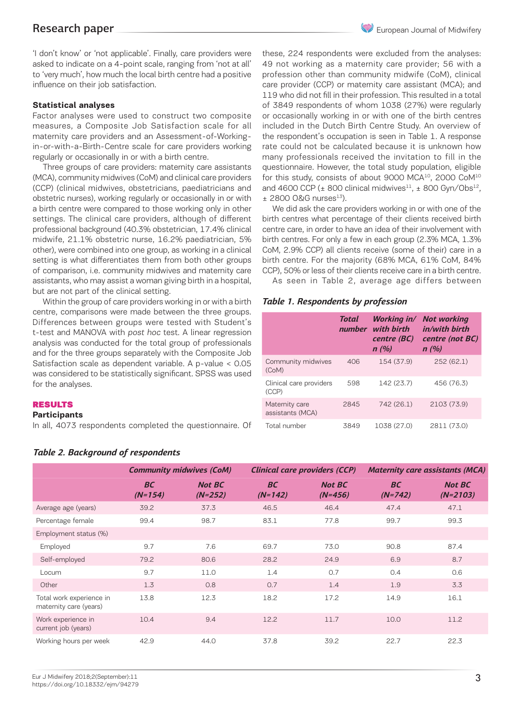'I don't know' or 'not applicable'. Finally, care providers were asked to indicate on a 4-point scale, ranging from 'not at all' to 'very much', how much the local birth centre had a positive influence on their job satisfaction.

#### **Statistical analyses**

Factor analyses were used to construct two composite measures, a Composite Job Satisfaction scale for all maternity care providers and an Assessment-of-Workingin-or-with-a-Birth-Centre scale for care providers working regularly or occasionally in or with a birth centre.

Three groups of care providers: maternity care assistants (MCA), community midwives (CoM) and clinical care providers (CCP) (clinical midwives, obstetricians, paediatricians and obstetric nurses), working regularly or occasionally in or with a birth centre were compared to those working only in other settings. The clinical care providers, although of different professional background (40.3% obstetrician, 17.4% clinical midwife, 21.1% obstetric nurse, 16.2% paediatrician, 5% other), were combined into one group, as working in a clinical setting is what differentiates them from both other groups of comparison, i.e. community midwives and maternity care assistants, who may assist a woman giving birth in a hospital, but are not part of the clinical setting.

Within the group of care providers working in or with a birth centre, comparisons were made between the three groups. Differences between groups were tested with Student's t-test and MANOVA with post hoc test. A linear regression analysis was conducted for the total group of professionals and for the three groups separately with the Composite Job Satisfaction scale as dependent variable. A p-value < 0.05 was considered to be statistically significant. SPSS was used for the analyses.

#### RESULTS

#### **Participants**

In all, 4073 respondents completed the questionnaire. Of

these, 224 respondents were excluded from the analyses: 49 not working as a maternity care provider; 56 with a profession other than community midwife (CoM), clinical care provider (CCP) or maternity care assistant (MCA); and 119 who did not fill in their profession. This resulted in a total of 3849 respondents of whom 1038 (27%) were regularly or occasionally working in or with one of the birth centres included in the Dutch Birth Centre Study. An overview of the respondent's occupation is seen in Table 1. A response rate could not be calculated because it is unknown how many professionals received the invitation to fill in the questionnaire. However, the total study population, eligible for this study, consists of about 9000 MCA<sup>10</sup>, 2000 CoM<sup>10</sup> and 4600 CCP ( $\pm$  800 clinical midwives<sup>11</sup>,  $\pm$  800 Gyn/Obs<sup>12</sup>,  $±$  2800 O&G nurses $^{13}$ ).

We did ask the care providers working in or with one of the birth centres what percentage of their clients received birth centre care, in order to have an idea of their involvement with birth centres. For only a few in each group (2.3% MCA, 1.3% CoM, 2.9% CCP) all clients receive (some of their) care in a birth centre. For the majority (68% MCA, 61% CoM, 84% CCP), 50% or less of their clients receive care in a birth centre.

As seen in Table 2, average age differs between

#### *Table 1. Respondents by profession*

|                                    | Total | number with birth<br>centre (BC)<br>n(%) | Working in/ Not working<br>in/with birth<br>centre (not BC)<br>n(%) |
|------------------------------------|-------|------------------------------------------|---------------------------------------------------------------------|
| Community midwives<br>(CoM)        | 406   | 154 (37.9)                               | 252 (62.1)                                                          |
| Clinical care providers<br>(CCP)   | 598   | 142 (23.7)                               | 456 (76.3)                                                          |
| Maternity care<br>assistants (MCA) | 2845  | 742 (26.1)                               | 2103 (73.9)                                                         |
| Total number                       | 3849  | 1038 (27.0)                              | 2811 (73.0)                                                         |

|                                                    | <b>Community midwives (CoM)</b> |                            |                        | <b>Clinical care providers (CCP)</b> | <b>Maternity care assistants (MCA)</b> |                             |  |
|----------------------------------------------------|---------------------------------|----------------------------|------------------------|--------------------------------------|----------------------------------------|-----------------------------|--|
|                                                    | <b>BC</b><br>$(N=154)$          | <b>Not BC</b><br>$(N=252)$ | <b>BC</b><br>$(N=142)$ | <b>Not BC</b><br>$(N=456)$           | <b>BC</b><br>$(N=742)$                 | <b>Not BC</b><br>$(N=2103)$ |  |
| Average age (years)                                | 39.2                            | 37.3                       | 46.5                   | 46.4                                 | 47.4                                   | 47.1                        |  |
| Percentage female                                  | 99.4                            | 98.7                       | 83.1                   | 77.8                                 | 99.7                                   | 99.3                        |  |
| Employment status (%)                              |                                 |                            |                        |                                      |                                        |                             |  |
| Employed                                           | 9.7                             | 7.6                        | 69.7                   | 73.0                                 | 90.8                                   | 87.4                        |  |
| Self-employed                                      | 79.2                            | 80.6                       | 28.2                   | 24.9                                 | 6.9                                    | 8.7                         |  |
| Locum                                              | 9.7                             | 11.0                       | 1.4                    | 0.7                                  | 0.4                                    | 0.6                         |  |
| Other                                              | 1.3                             | 0.8                        | 0.7                    | 1.4                                  | 1.9                                    | 3.3                         |  |
| Total work experience in<br>maternity care (years) | 13.8                            | 12.3                       | 18.2                   | 17.2                                 | 14.9                                   | 16.1                        |  |
| Work experience in<br>current job (years)          | 10.4                            | 9.4                        | 12.2                   | 11.7                                 | 10.0                                   | 11.2                        |  |
| Working hours per week                             | 42.9                            | 44.0                       | 37.8                   | 39.2                                 | 22.7                                   | 22.3                        |  |

### *Table 2. Background of respondents*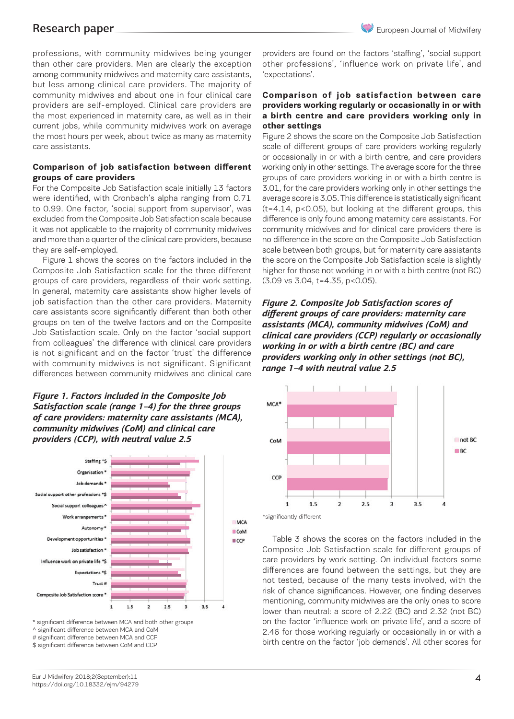professions, with community midwives being younger than other care providers. Men are clearly the exception among community midwives and maternity care assistants, but less among clinical care providers. The majority of community midwives and about one in four clinical care providers are self-employed. Clinical care providers are the most experienced in maternity care, as well as in their current jobs, while community midwives work on average the most hours per week, about twice as many as maternity care assistants.

### **Comparison of job satisfaction between different groups of care providers**

For the Composite Job Satisfaction scale initially 13 factors were identified, with Cronbach's alpha ranging from 0.71 to 0.99. One factor, 'social support from supervisor', was excluded from the Composite Job Satisfaction scale because it was not applicable to the majority of community midwives and more than a quarter of the clinical care providers, because they are self-employed.

Figure 1 shows the scores on the factors included in the Composite Job Satisfaction scale for the three different groups of care providers, regardless of their work setting. In general, maternity care assistants show higher levels of job satisfaction than the other care providers. Maternity care assistants score significantly different than both other groups on ten of the twelve factors and on the Composite Job Satisfaction scale. Only on the factor 'social support from colleagues' the difference with clinical care providers is not significant and on the factor 'trust' the difference with community midwives is not significant. Significant differences between community midwives and clinical care

# *Figure 1. Factors included in the Composite Job Satisfaction scale (range 1–4) for the three groups of care providers: maternity care assistants (MCA), community midwives (CoM) and clinical care providers (CCP), with neutral value 2.5*



\* significant difference between MCA and both other groups ^ significant difference between MCA and CoM # significant difference between MCA and CCP \$ significant difference between CoM and CCP

providers are found on the factors 'staffing', 'social support other professions', 'influence work on private life', and 'expectations'.

### **Comparison of job satisfaction between care providers working regularly or occasionally in or with a birth centre and care providers working only in other settings**

Figure 2 shows the score on the Composite Job Satisfaction scale of different groups of care providers working regularly or occasionally in or with a birth centre, and care providers working only in other settings. The average score for the three groups of care providers working in or with a birth centre is 3.01, for the care providers working only in other settings the average score is 3.05. This difference is statistically significant (t=4.14, p<0.05), but looking at the different groups, this difference is only found among maternity care assistants. For community midwives and for clinical care providers there is no difference in the score on the Composite Job Satisfaction scale between both groups, but for maternity care assistants the score on the Composite Job Satisfaction scale is slightly higher for those not working in or with a birth centre (not BC) (3.09 vs 3.04, t=4.35, p<0.05).

*Figure 2. Composite Job Satisfaction scores of different groups of care providers: maternity care assistants (MCA), community midwives (CoM) and clinical care providers (CCP) regularly or occasionally working in or with a birth centre (BC) and care providers working only in other settings (not BC), range 1–4 with neutral value 2.5* 



Table 3 shows the scores on the factors included in the Composite Job Satisfaction scale for different groups of care providers by work setting. On individual factors some differences are found between the settings, but they are not tested, because of the many tests involved, with the risk of chance significances. However, one finding deserves mentioning, community midwives are the only ones to score lower than neutral: a score of 2.22 (BC) and 2.32 (not BC) on the factor 'influence work on private life', and a score of 2.46 for those working regularly or occasionally in or with a birth centre on the factor 'job demands'. All other scores for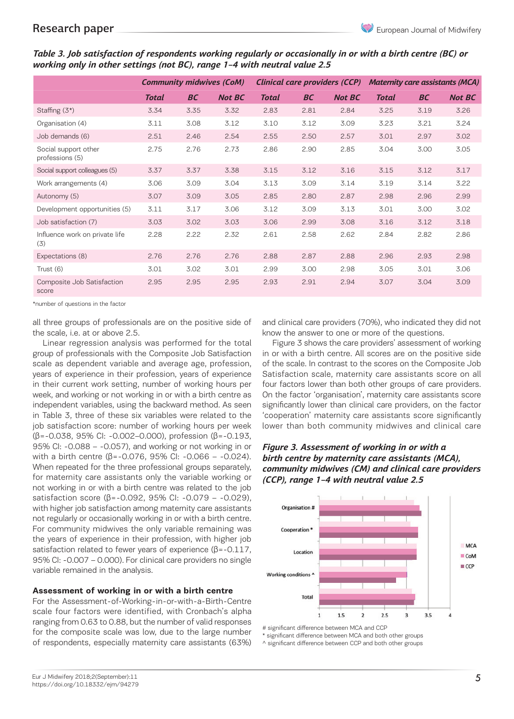*Table 3. Job satisfaction of respondents working regularly or occasionally in or with a birth centre (BC) or working only in other settings (not BC), range 1–4 with neutral value 2.5*

|                                         | <b>Community midwives (CoM)</b> |      |               | <b>Clinical care providers (CCP)</b> |           |               | <b>Maternity care assistants (MCA)</b> |           |               |
|-----------------------------------------|---------------------------------|------|---------------|--------------------------------------|-----------|---------------|----------------------------------------|-----------|---------------|
|                                         | <b>Total</b>                    | BC   | <b>Not BC</b> | <b>Total</b>                         | <b>BC</b> | <b>Not BC</b> | <b>Total</b>                           | <b>BC</b> | <b>Not BC</b> |
| Staffing $(3^*)$                        | 3.34                            | 3.35 | 3.32          | 2.83                                 | 2.81      | 2.84          | 3.25                                   | 3.19      | 3.26          |
| Organisation (4)                        | 3.11                            | 3.08 | 3.12          | 3.10                                 | 3.12      | 3.09          | 3.23                                   | 3.21      | 3.24          |
| Job demands (6)                         | 2.51                            | 2.46 | 2.54          | 2.55                                 | 2.50      | 2.57          | 3.01                                   | 2.97      | 3.02          |
| Social support other<br>professions (5) | 2.75                            | 2.76 | 2.73          | 2.86                                 | 2.90      | 2.85          | 3.04                                   | 3.00      | 3.05          |
| Social support colleagues (5)           | 3.37                            | 3.37 | 3.38          | 3.15                                 | 3.12      | 3.16          | 3.15                                   | 3.12      | 3.17          |
| Work arrangements (4)                   | 3.06                            | 3.09 | 3.04          | 3.13                                 | 3.09      | 3.14          | 3.19                                   | 3.14      | 3.22          |
| Autonomy (5)                            | 3.07                            | 3.09 | 3.05          | 2.85                                 | 2.80      | 2.87          | 2.98                                   | 2.96      | 2.99          |
| Development opportunities (5)           | 3.11                            | 3.17 | 3.06          | 3.12                                 | 3.09      | 3.13          | 3.01                                   | 3.00      | 3.02          |
| Job satisfaction (7)                    | 3.03                            | 3.02 | 3.03          | 3.06                                 | 2.99      | 3.08          | 3.16                                   | 3.12      | 3.18          |
| Influence work on private life<br>(3)   | 2.28                            | 2.22 | 2.32          | 2.61                                 | 2.58      | 2.62          | 2.84                                   | 2.82      | 2.86          |
| Expectations (8)                        | 2.76                            | 2.76 | 2.76          | 2.88                                 | 2.87      | 2.88          | 2.96                                   | 2.93      | 2.98          |
| Trust (6)                               | 3.01                            | 3.02 | 3.01          | 2.99                                 | 3.00      | 2.98          | 3.05                                   | 3.01      | 3.06          |
| Composite Job Satisfaction<br>score     | 2.95                            | 2.95 | 2.95          | 2.93                                 | 2.91      | 2.94          | 3.07                                   | 3.04      | 3.09          |

\*number of questions in the factor

all three groups of professionals are on the positive side of the scale, i.e. at or above 2.5.

Linear regression analysis was performed for the total group of professionals with the Composite Job Satisfaction scale as dependent variable and average age, profession, years of experience in their profession, years of experience in their current work setting, number of working hours per week, and working or not working in or with a birth centre as independent variables, using the backward method. As seen in Table 3, three of these six variables were related to the job satisfaction score: number of working hours per week (β=-0.038, 95% CI: -0.002–0.000), profession (β=-0.193, 95% CI: -0.088 – -0.057), and working or not working in or with a birth centre (β=-0.076, 95% CI: -0.066 – -0.024). When repeated for the three professional groups separately, for maternity care assistants only the variable working or not working in or with a birth centre was related to the job satisfaction score (β=-0.092, 95% CI: -0.079 – -0.029), with higher job satisfaction among maternity care assistants not regularly or occasionally working in or with a birth centre. For community midwives the only variable remaining was the years of experience in their profession, with higher job satisfaction related to fewer years of experience (β=-0.117, 95% CI: -0.007 – 0.000). For clinical care providers no single variable remained in the analysis.

# **Assessment of working in or with a birth centre**

For the Assessment-of-Working-in-or-with-a-Birth-Centre scale four factors were identified, with Cronbach's alpha ranging from 0.63 to 0.88, but the number of valid responses for the composite scale was low, due to the large number of respondents, especially maternity care assistants (63%)

and clinical care providers (70%), who indicated they did not know the answer to one or more of the questions.

Figure 3 shows the care providers' assessment of working in or with a birth centre. All scores are on the positive side of the scale. In contrast to the scores on the Composite Job Satisfaction scale, maternity care assistants score on all four factors lower than both other groups of care providers. On the factor 'organisation', maternity care assistants score significantly lower than clinical care providers, on the factor 'cooperation' maternity care assistants score significantly lower than both community midwives and clinical care

# *Figure 3. Assessment of working in or with a birth centre by maternity care assistants (MCA), community midwives (CM) and clinical care providers (CCP), range 1–4 with neutral value 2.5*



# significant difference between MCA and CCP

significant difference between MCA and both other groups

^ significant difference between CCP and both other groups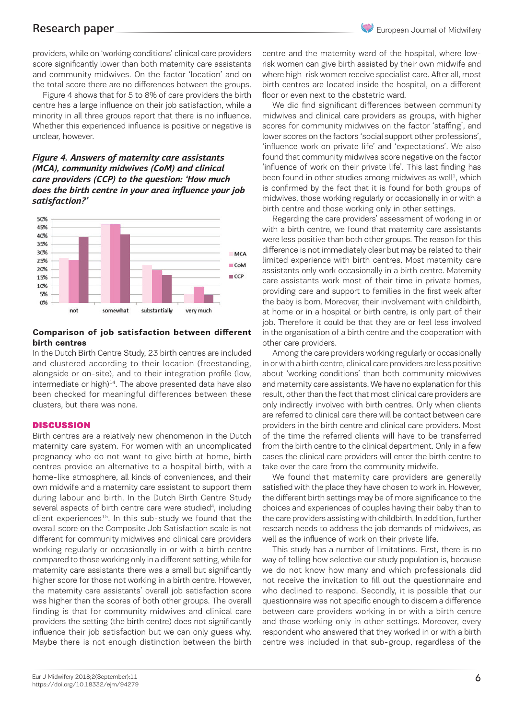providers, while on 'working conditions' clinical care providers score significantly lower than both maternity care assistants and community midwives. On the factor 'location' and on the total score there are no differences between the groups.

Figure 4 shows that for 5 to 8% of care providers the birth centre has a large influence on their job satisfaction, while a minority in all three groups report that there is no influence. Whether this experienced influence is positive or negative is unclear, however.

# *Figure 4. Answers of maternity care assistants (MCA), community midwives (CoM) and clinical care providers (CCP) to the question: 'How much does the birth centre in your area influence your job satisfaction?'*



# **Comparison of job satisfaction between different birth centres**

In the Dutch Birth Centre Study, 23 birth centres are included and clustered according to their location (freestanding, alongside or on-site), and to their integration profile (low, intermediate or high)<sup>14</sup>. The above presented data have also been checked for meaningful differences between these clusters, but there was none.

# **DISCUSSION**

Birth centres are a relatively new phenomenon in the Dutch maternity care system. For women with an uncomplicated pregnancy who do not want to give birth at home, birth centres provide an alternative to a hospital birth, with a home-like atmosphere, all kinds of conveniences, and their own midwife and a maternity care assistant to support them during labour and birth. In the Dutch Birth Centre Study several aspects of birth centre care were studied<sup>4</sup>, including client experiences $15$ . In this sub-study we found that the overall score on the Composite Job Satisfaction scale is not different for community midwives and clinical care providers working regularly or occasionally in or with a birth centre compared to those working only in a different setting, while for maternity care assistants there was a small but significantly higher score for those not working in a birth centre. However, the maternity care assistants' overall job satisfaction score was higher than the scores of both other groups. The overall finding is that for community midwives and clinical care providers the setting (the birth centre) does not significantly influence their job satisfaction but we can only guess why. Maybe there is not enough distinction between the birth

centre and the maternity ward of the hospital, where lowrisk women can give birth assisted by their own midwife and where high-risk women receive specialist care. After all, most birth centres are located inside the hospital, on a different floor or even next to the obstetric ward.

We did find significant differences between community midwives and clinical care providers as groups, with higher scores for community midwives on the factor 'staffing', and lower scores on the factors 'social support other professions', 'influence work on private life' and 'expectations'. We also found that community midwives score negative on the factor 'influence of work on their private life'. This last finding has been found in other studies among midwives as well<sup>1</sup>, which is confirmed by the fact that it is found for both groups of midwives, those working regularly or occasionally in or with a birth centre and those working only in other settings.

Regarding the care providers' assessment of working in or with a birth centre, we found that maternity care assistants were less positive than both other groups. The reason for this difference is not immediately clear but may be related to their limited experience with birth centres. Most maternity care assistants only work occasionally in a birth centre. Maternity care assistants work most of their time in private homes, providing care and support to families in the first week after the baby is born. Moreover, their involvement with childbirth, at home or in a hospital or birth centre, is only part of their job. Therefore it could be that they are or feel less involved in the organisation of a birth centre and the cooperation with other care providers.

Among the care providers working regularly or occasionally in or with a birth centre, clinical care providers are less positive about 'working conditions' than both community midwives and maternity care assistants. We have no explanation for this result, other than the fact that most clinical care providers are only indirectly involved with birth centres. Only when clients are referred to clinical care there will be contact between care providers in the birth centre and clinical care providers. Most of the time the referred clients will have to be transferred from the birth centre to the clinical department. Only in a few cases the clinical care providers will enter the birth centre to take over the care from the community midwife.

We found that maternity care providers are generally satisfied with the place they have chosen to work in. However, the different birth settings may be of more significance to the choices and experiences of couples having their baby than to the care providers assisting with childbirth. In addition, further research needs to address the job demands of midwives, as well as the influence of work on their private life.

This study has a number of limitations. First, there is no way of telling how selective our study population is, because we do not know how many and which professionals did not receive the invitation to fill out the questionnaire and who declined to respond. Secondly, it is possible that our questionnaire was not specific enough to discern a difference between care providers working in or with a birth centre and those working only in other settings. Moreover, every respondent who answered that they worked in or with a birth centre was included in that sub-group, regardless of the